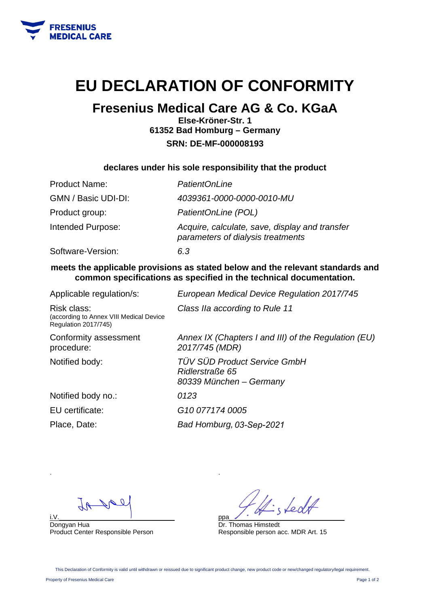

# **EU DECLARATION OF CONFORMITY**

# **Fresenius Medical Care AG & Co. KGaA**

**Else-Kröner-Str. 1 61352 Bad Homburg – Germany SRN: DE-MF-000008193** 

### **declares under his sole responsibility that the product**

| <b>Product Name:</b> | <b>PatientOnLine</b>                                                                |
|----------------------|-------------------------------------------------------------------------------------|
| GMN / Basic UDI-DI:  | 4039361-0000-0000-0010-MU                                                           |
| Product group:       | PatientOnLine (POL)                                                                 |
| Intended Purpose:    | Acquire, calculate, save, display and transfer<br>parameters of dialysis treatments |
| Software-Version:    | 6.3                                                                                 |

### **meets the applicable provisions as stated below and the relevant standards and common specifications as specified in the technical documentation.**

| Applicable regulation/s:                                                              | European Medical Device Regulation 2017/745                                |
|---------------------------------------------------------------------------------------|----------------------------------------------------------------------------|
| Risk class:<br>(according to Annex VIII Medical Device<br><b>Regulation 2017/745)</b> | Class IIa according to Rule 11                                             |
| Conformity assessment<br>procedure:                                                   | Annex IX (Chapters I and III) of the Regulation (EU)<br>2017/745 (MDR)     |
| Notified body:                                                                        | TÜV SÜD Product Service GmbH<br>Ridlerstraße 65<br>80339 München – Germany |
| Notified body no.:                                                                    | 0123                                                                       |
| EU certificate:                                                                       | G <sub>10</sub> 077174 0005                                                |
| Place, Date:                                                                          | Bad Homburg, 03-Sep-2021                                                   |

.

i.V.\_\_\_\_\_\_\_\_\_\_\_\_\_\_\_\_\_\_\_\_\_\_\_\_\_\_\_\_\_\_\_\_ Dongyan Hua Product Center Responsible Person

LedA ppa\_\_\_\_\_\_\_\_\_\_\_\_\_\_\_\_\_\_\_\_\_\_\_\_\_\_\_\_\_\_\_\_

Dr. Thomas Himstedt Responsible person acc. MDR Art. 15

This Declaration of Conformity is valid until withdrawn or reissued due to significant product change, new product code or new/changed regulatory/legal requirement.

Property of Fresenius Medical Care Page 1 of 2

.